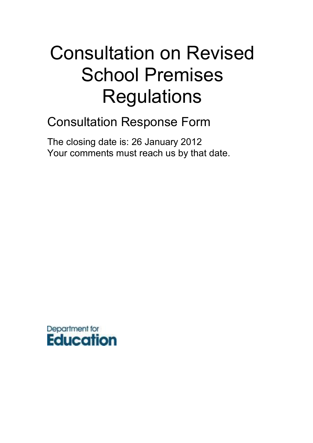# Consultation on Revised School Premises **Regulations**

# Consultation Response Form

The closing date is: 26 January 2012 Your comments must reach us by that date.

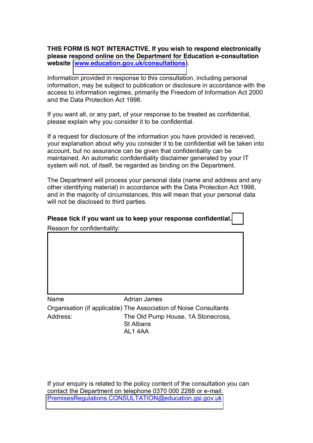**THIS FORM IS NOT INTERACTIVE. If you wish to respond electronically please respond online on the Department for Education e-consultation website** (**[www.education.gov.uk/consultations](http://www.education.gov.uk/consultations)**).

Information provided in response to this consultation, including personal information, may be subject to publication or disclosure in accordance with the access to information regimes, primarily the Freedom of Information Act 2000 and the Data Protection Act 1998.

If you want all, or any part, of your response to be treated as confidential, please explain why you consider it to be confidential.

If a request for disclosure of the information you have provided is received, your explanation about why you consider it to be confidential will be taken into account, but no assurance can be given that confidentiality can be maintained. An automatic confidentiality disclaimer generated by your IT system will not, of itself, be regarded as binding on the Department.

The Department will process your personal data (name and address and any other identifying material) in accordance with the Data Protection Act 1998, and in the majority of circumstances, this will mean that your personal data will not be disclosed to third parties.

**Please tick if you want us to keep your response confidential.** Reason for confidentiality:

Name Adrian James Organisation (if applicable) The Association of Noise Consultants Address: The Old Pump House, 1A Stonecross, St Albans

AL1 4AA

If your enquiry is related to the policy content of the consultation you can contact the Department on telephone 0370 000 2288 or e-mail: [PremisesRegulations.CONSULTATION@education.gsi.gov.uk](mailto:PremisesRegulations.CONSULTATION@education.gsi.gov.uk)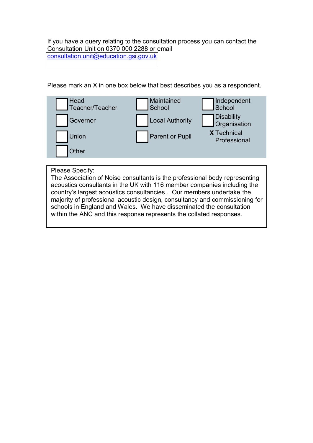If you have a query relating to the consultation process you can contact the Consultation Unit on 0370 000 2288 or email [consultation.unit@education.gsi.gov.uk](mailto:consultation.unit@dcsf.gsi.gov.uk)

Please mark an X in one box below that best describes you as a respondent.



Please Specify:

The Association of Noise consultants is the professional body representing acoustics consultants in the UK with 116 member companies including the country's largest acoustics consultancies . Our members undertake the majority of professional acoustic design, consultancy and commissioning for schools in England and Wales. We have disseminated the consultation within the ANC and this response represents the collated responses.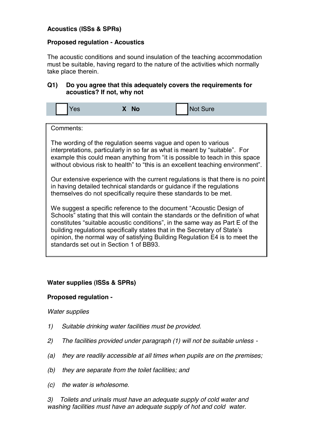# **Acoustics (ISSs & SPRs)**

#### **Proposed regulation - Acoustics**

The acoustic conditions and sound insulation of the teaching accommodation must be suitable, having regard to the nature of the activities which normally take place therein.

#### **Q1) Do you agree that this adequately covers the requirements for acoustics? If not, why not**

| <b>Yes</b><br>X No | Not Sure |
|--------------------|----------|
|--------------------|----------|

Comments:

The wording of the regulation seems vague and open to various interpretations, particularly in so far as what is meant by "suitable". For example this could mean anything from "it is possible to teach in this space without obvious risk to health" to "this is an excellent teaching environment".

Our extensive experience with the current regulations is that there is no point in having detailed technical standards or guidance if the regulations themselves do not specifically require these standards to be met.

We suggest a specific reference to the document "Acoustic Design of Schools" stating that this will contain the standards or the definition of what constitutes "suitable acoustic conditions", in the same way as Part E of the building regulations specifically states that in the Secretary of State's opinion, the normal way of satisfying Building Regulation E4 is to meet the standards set out in Section 1 of BB93.

# **Water supplies (ISSs & SPRs)**

#### **Proposed regulation -**

#### *Water supplies*

- *1) Suitable drinking water facilities must be provided.*
- *2) The facilities provided under paragraph (1) will not be suitable unless -*
- *(a) they are readily accessible at all times when pupils are on the premises;*
- *(b) they are separate from the toilet facilities; and*
- *(c) the water is wholesome.*

*3) Toilets and urinals must have an adequate supply of cold water and washing facilities must have an adequate supply of hot and cold water.*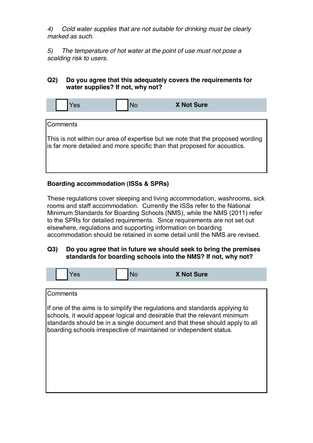*4) Cold water supplies that are not suitable for drinking must be clearly marked as such.*

*5) The temperature of hot water at the point of use must not pose a scalding risk to users.*

## **Q2) Do you agree that this adequately covers the requirements for water supplies? If not, why not?**

| <b>X Not Sure</b><br>və |
|-------------------------|
|-------------------------|

# **Comments**

This is not within our area of expertise but we note that the proposed wording is far more detailed and more specific than that proposed for acoustics.

# **Boarding accommodation (ISSs & SPRs)**

These regulations cover sleeping and living accommodation, washrooms, sick rooms and staff accommodation. Currently the ISSs refer to the National Minimum Standards for Boarding Schools (NMS), while the NMS (2011) refer to the SPRs for detailed requirements. Since requirements are not set out elsewhere, regulations and supporting information on boarding accommodation should be retained in some detail until the NMS are revised.

#### **Q3) Do you agree that in future we should seek to bring the premises standards for boarding schools into the NMS? If not, why not?**

| Yes             | <b>No</b> | <b>X Not Sure</b>                                                                                                                                                                                                                                                                                            |  |
|-----------------|-----------|--------------------------------------------------------------------------------------------------------------------------------------------------------------------------------------------------------------------------------------------------------------------------------------------------------------|--|
|                 |           |                                                                                                                                                                                                                                                                                                              |  |
| <b>Comments</b> |           |                                                                                                                                                                                                                                                                                                              |  |
|                 |           | If one of the aims is to simplify the regulations and standards applying to<br>schools, it would appear logical and desirable that the relevant minimum<br>standards should be in a single document and that these should apply to all<br>boarding schools irrespective of maintained or independent status. |  |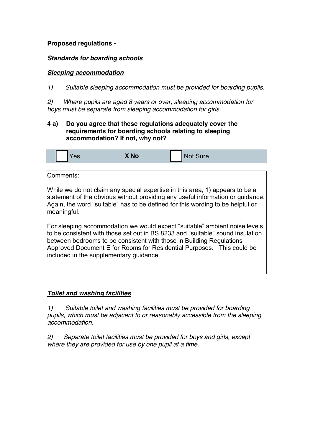# **Proposed regulations -**

# *Standards for boarding schools*

# *Sleeping accommodation*

*1) Suitable sleeping accommodation must be provided for boarding pupils.*

*2) Where pupils are aged 8 years or over, sleeping accommodation for boys must be separate from sleeping accommodation for girls.*

## **4 a) Do you agree that these regulations adequately cover the requirements for boarding schools relating to sleeping accommodation? If not, why not?**

|  |  | $\sim$ | <b>TAL</b><br>A IV | _<br>uuu |
|--|--|--------|--------------------|----------|
|--|--|--------|--------------------|----------|

# Comments:

While we do not claim any special expertise in this area, 1) appears to be a statement of the obvious without providing any useful information or guidance. Again, the word "suitable" has to be defined for this wording to be helpful or meaningful.

For sleeping accommodation we would expect "suitable" ambient noise levels to be consistent with those set out in BS 8233 and "suitable" sound insulation between bedrooms to be consistent with those in Building Regulations Approved Document E for Rooms for Residential Purposes. This could be included in the supplementary guidance.

# *Toilet and washing facilities*

*1) Suitable toilet and washing facilities must be provided for boarding pupils, which must be adjacent to or reasonably accessible from the sleeping accommodation.*

*2) Separate toilet facilities must be provided for boys and girls, except where they are provided for use by one pupil at a time.*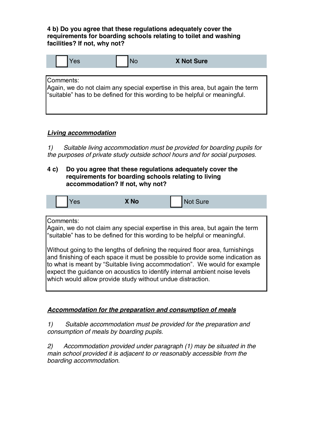**4 b) Do you agree that these regulations adequately cover the requirements for boarding schools relating to toilet and washing facilities? If not, why not?**

| <b>X Not Sure</b> |  |
|-------------------|--|
|-------------------|--|

Comments:

Again, we do not claim any special expertise in this area, but again the term "suitable" has to be defined for this wording to be helpful or meaningful.

# *Living accommodation*

*1) Suitable living accommodation must be provided for boarding pupils for the purposes of private study outside school hours and for social purposes.*

#### **4 c) Do you agree that these regulations adequately cover the requirements for boarding schools relating to living accommodation? If not, why not?**

|--|

Comments:

Again, we do not claim any special expertise in this area, but again the term "suitable" has to be defined for this wording to be helpful or meaningful.

Without going to the lengths of defining the required floor area, furnishings and finishing of each space it must be possible to provide some indication as to what is meant by "Suitable living accommodation". We would for example expect the guidance on acoustics to identify internal ambient noise levels which would allow provide study without undue distraction.

# *Accommodation for the preparation and consumption of meals*

*1) Suitable accommodation must be provided for the preparation and consumption of meals by boarding pupils.*

*2) Accommodation provided under paragraph (1) may be situated in the main school provided it is adjacent to or reasonably accessible from the boarding accommodation.*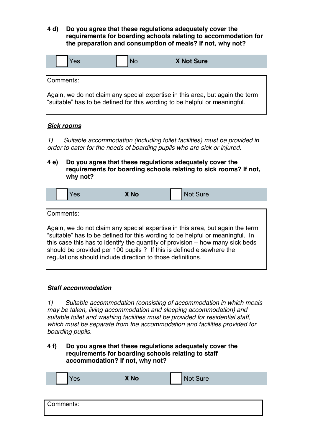**4 d) Do you agree that these regulations adequately cover the requirements for boarding schools relating to accommodation for the preparation and consumption of meals? If not, why not?**

| vu |  | <b>X Not Sure</b> |
|----|--|-------------------|
|----|--|-------------------|

Comments:

Again, we do not claim any special expertise in this area, but again the term "suitable" has to be defined for this wording to be helpful or meaningful.

#### *Sick rooms*

*1) Suitable accommodation (including toilet facilities) must be provided in order to cater for the needs of boarding pupils who are sick or injured.*

**4 e) Do you agree that these regulations adequately cover the requirements for boarding schools relating to sick rooms? If not, why not?**

| Yes                                                                                                                                | X No | <b>Not Sure</b>                                                                                                                                                                                                                                |
|------------------------------------------------------------------------------------------------------------------------------------|------|------------------------------------------------------------------------------------------------------------------------------------------------------------------------------------------------------------------------------------------------|
| Comments:                                                                                                                          |      |                                                                                                                                                                                                                                                |
| should be provided per 100 pupils ? If this is defined elsewhere the<br>regulations should include direction to those definitions. |      | Again, we do not claim any special expertise in this area, but again the term<br>suitable" has to be defined for this wording to be helpful or meaningful. In<br>this case this has to identify the quantity of provision – how many sick beds |

#### *Staff accommodation*

*1) Suitable accommodation (consisting of accommodation in which meals may be taken, living accommodation and sleeping accommodation) and suitable toilet and washing facilities must be provided for residential staff, which must be separate from the accommodation and facilities provided for boarding pupils.*

#### **4 f) Do you agree that these regulations adequately cover the requirements for boarding schools relating to staff accommodation? If not, why not?**

| င၁ | <b>X No</b> | $\mathbf{N}$<br>$S$ ure<br>$\sim$ |  |
|----|-------------|-----------------------------------|--|
|    |             |                                   |  |

| Comments: |  |  |  |
|-----------|--|--|--|
|           |  |  |  |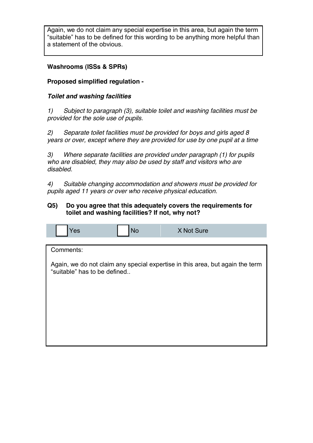Again, we do not claim any special expertise in this area, but again the term "suitable" has to be defined for this wording to be anything more helpful than a statement of the obvious.

# **Washrooms (ISSs & SPRs)**

# **Proposed simplified regulation -**

# *Toilet and washing facilities*

*1) Subject to paragraph (3), suitable toilet and washing facilities must be provided for the sole use of pupils.*

*2) Separate toilet facilities must be provided for boys and girls aged 8 years or over, except where they are provided for use by one pupil at a time*

*3) Where separate facilities are provided under paragraph (1) for pupils who are disabled, they may also be used by staff and visitors who are disabled.*

*4) Suitable changing accommodation and showers must be provided for pupils aged 11 years or over who receive physical education.*

# **Q5) Do you agree that this adequately covers the requirements for toilet and washing facilities? If not, why not?**

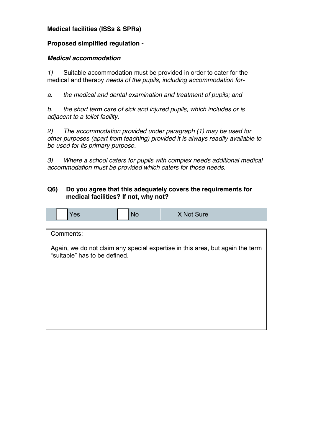# **Medical facilities (ISSs & SPRs)**

# **Proposed simplified regulation -**

#### *Medical accommodation*

*1)* Suitable accommodation must be provided in order to cater for the medical and therapy *needs of the pupils, including accommodation for-*

*a. the medical and dental examination and treatment of pupils; and*

*b. the short term care of sick and injured pupils, which includes or is adjacent to a toilet facility.*

*2) The accommodation provided under paragraph (1) may be used for other purposes (apart from teaching) provided it is always readily available to be used for its primary purpose.*

*3) Where a school caters for pupils with complex needs additional medical accommodation must be provided which caters for those needs.*

#### **Q6) Do you agree that this adequately covers the requirements for medical facilities? If not, why not?**

|  | Yes                           | <b>No</b> | X Not Sure                                                                    |
|--|-------------------------------|-----------|-------------------------------------------------------------------------------|
|  |                               |           |                                                                               |
|  | Comments:                     |           |                                                                               |
|  | "suitable" has to be defined. |           | Again, we do not claim any special expertise in this area, but again the term |
|  |                               |           |                                                                               |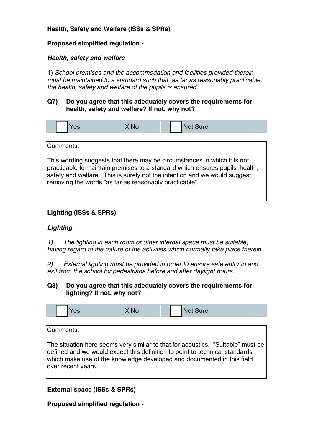# **Health, Safety and Welfare (ISSs & SPRs)**

# **Proposed simplified regulation -**

# *Health, safety and welfare*

1) *School premises and the accommodation and facilities provided therein must be maintained to a standard such that, as far as reasonably practicable, the health, safety and welfare of the pupils is ensured.*

# **Q7) Do you agree that this adequately covers the requirements for health, safety and welfare? If not, why not?**



# **Lighting (ISSs & SPRs)**

# *Lighting*

*1) The lighting in each room or other internal space must be suitable, having regard to the nature of the activities which normally take place therein.*

*2) External lighting must be provided in order to ensure safe entry to and exit from the school for pedestrians before and after daylight hours.*

#### **Q8) Do you agree that this adequately covers the requirements for lighting? If not, why not?**

| Yes       | X <sub>No</sub> | Not Sure                                                                                                                                                         |
|-----------|-----------------|------------------------------------------------------------------------------------------------------------------------------------------------------------------|
|           |                 |                                                                                                                                                                  |
| Comments: |                 |                                                                                                                                                                  |
|           |                 |                                                                                                                                                                  |
|           |                 | The situation here seems very similar to that for acoustics. "Suitable" must be<br>ldefined and we would evenct this definition to noint to technical standards. |

defined and we would expect this definition to point to technical standards which make use of the knowledge developed and documented in this field over recent years.

**External space (ISSs & SPRs)**

**Proposed simplified regulation -**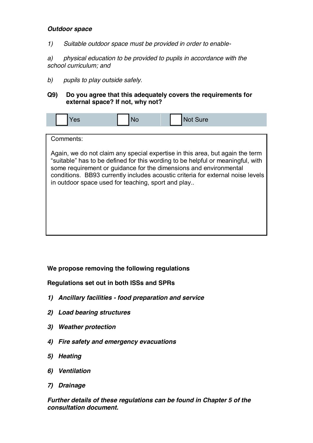#### *Outdoor space*

*1) Suitable outdoor space must be provided in order to enable-*

*a) physical education to be provided to pupils in accordance with the school curriculum; and*

*b) pupils to play outside safely.*

#### **Q9) Do you agree that this adequately covers the requirements for external space? If not, why not?**

| res       | No                                                 | <b>Not Sure</b>                                                                                                                                                                                                                                                                                                          |  |
|-----------|----------------------------------------------------|--------------------------------------------------------------------------------------------------------------------------------------------------------------------------------------------------------------------------------------------------------------------------------------------------------------------------|--|
|           |                                                    |                                                                                                                                                                                                                                                                                                                          |  |
| Comments: |                                                    |                                                                                                                                                                                                                                                                                                                          |  |
|           | in outdoor space used for teaching, sport and play | Again, we do not claim any special expertise in this area, but again the term<br>"suitable" has to be defined for this wording to be helpful or meaningful, with<br>some requirement or guidance for the dimensions and environmental<br>conditions. BB93 currently includes acoustic criteria for external noise levels |  |

# **We propose removing the following regulations**

**Regulations set out in both ISSs and SPRs**

- *1) Ancillary facilities - food preparation and service*
- *2) Load bearing structures*
- *3) Weather protection*
- *4) Fire safety and emergency evacuations*
- *5) Heating*
- *6) Ventilation*
- *7) Drainage*

*Further details of these regulations can be found in Chapter 5 of the consultation document.*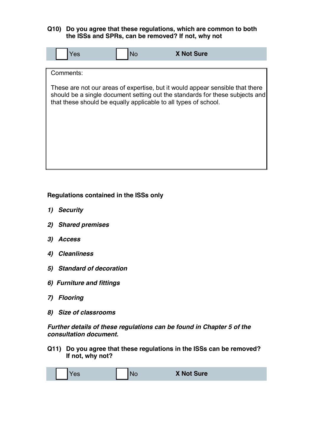#### **Q10) Do you agree that these regulations, which are common to both the ISSs and SPRs, can be removed? If not, why not**



**Regulations contained in the ISSs only**

- *1) Security*
- *2) Shared premises*
- *3) Access*
- *4) Cleanliness*
- *5) Standard of decoration*
- *6) Furniture and fittings*
- *7) Flooring*
- *8) Size of classrooms*

*Further details of these regulations can be found in Chapter 5 of the consultation document.*

**Q11) Do you agree that these regulations in the ISSs can be removed? If not, why not?**

|  |  | <b>Yes</b> |  | No | <b>X Not Sure</b> |
|--|--|------------|--|----|-------------------|
|--|--|------------|--|----|-------------------|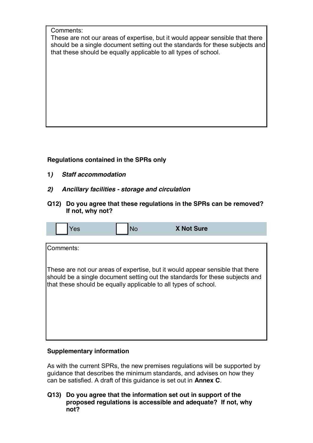Comments:

These are not our areas of expertise, but it would appear sensible that there should be a single document setting out the standards for these subjects and that these should be equally applicable to all types of school.

# **Regulations contained in the SPRs only**

- **1***) Staff accommodation*
- *2) Ancillary facilities - storage and circulation*
- **Q12) Do you agree that these regulations in the SPRs can be removed? If not, why not?**

| Yes       | <b>No</b>                                                       | <b>X Not Sure</b>                                                                                                                                             |  |
|-----------|-----------------------------------------------------------------|---------------------------------------------------------------------------------------------------------------------------------------------------------------|--|
|           |                                                                 |                                                                                                                                                               |  |
| Comments: |                                                                 |                                                                                                                                                               |  |
|           | that these should be equally applicable to all types of school. | These are not our areas of expertise, but it would appear sensible that there<br>should be a single document setting out the standards for these subjects and |  |

# **Supplementary information**

As with the current SPRs, the new premises regulations will be supported by guidance that describes the minimum standards, and advises on how they can be satisfied. A draft of this guidance is set out in **Annex C**.

**Q13) Do you agree that the information set out in support of the proposed regulations is accessible and adequate? If not, why not?**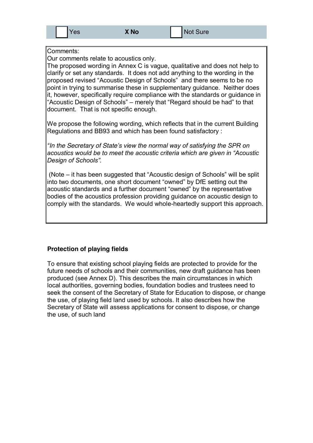#### Comments:

Our comments relate to acoustics only.

The proposed wording in Annex C is vague, qualitative and does not help to clarify or set any standards. It does not add anything to the wording in the proposed revised "Acoustic Design of Schools" and there seems to be no point in trying to summarise these in supplementary guidance. Neither does it, however, specifically require compliance with the standards or guidance in "Acoustic Design of Schools" – merely that "Regard should be had" to that document. That is not specific enough.

We propose the following wording, which reflects that in the current Building Regulations and BB93 and which has been found satisfactory :

*a*<sup>*In the Secretary of State's view the normal way of satisfying the SPR on*</sup> acoustics would be to meet the acoustic criteria which are given in "Acoustic Design of Schools".

(Note  $-$  it has been suggested that "Acoustic design of Schools" will be split into two documents, one short document "owned" by DfE setting out the acoustic standards and a further document "owned" by the representative bodies of the acoustics profession providing guidance on acoustic design to comply with the standards. We would whole-heartedly support this approach.

#### **Protection of playing fields**

To ensure that existing school playing fields are protected to provide for the future needs of schools and their communities, new draft guidance has been produced (see Annex D). This describes the main circumstances in which local authorities, governing bodies, foundation bodies and trustees need to seek the consent of the Secretary of State for Education to dispose, or change the use, of playing field land used by schools. It also describes how the Secretary of State will assess applications for consent to dispose, or change the use, of such land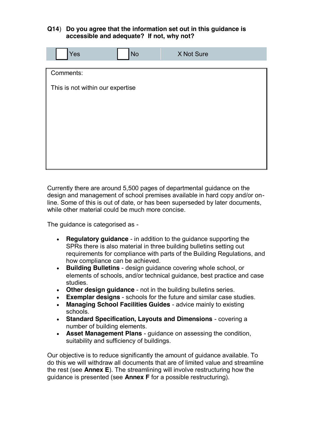#### **Q14**) **Do you agree that the information set out in this guidance is accessible and adequate? If not, why not?**

| Yes                              | <b>No</b> | X Not Sure |  |
|----------------------------------|-----------|------------|--|
| Comments:                        |           |            |  |
| This is not within our expertise |           |            |  |
|                                  |           |            |  |
|                                  |           |            |  |
|                                  |           |            |  |
|                                  |           |            |  |
|                                  |           |            |  |

Currently there are around 5,500 pages of departmental guidance on the design and management of school premises available in hard copy and/or online. Some of this is out of date, or has been superseded by later documents, while other material could be much more concise.

The guidance is categorised as -

- **Requistory quidance** in addition to the quidance supporting the SPRs there is also material in three building bulletins setting out requirements for compliance with parts of the Building Regulations, and how compliance can be achieved.
- **Building Bulletins** design guidance covering whole school, or elements of schools, and/or technical guidance, best practice and case studies.
- **Other design guidance** not in the building bulletins series.
- **Exemplar designs** schools for the future and similar case studies.
- **Managing School Facilities Guides** advice mainly to existing schools.
- x **Standard Specification, Layouts and Dimensions**  covering a number of building elements.
- **Asset Management Plans** guidance on assessing the condition, suitability and sufficiency of buildings.

Our objective is to reduce significantly the amount of guidance available. To do this we will withdraw all documents that are of limited value and streamline the rest (see **Annex E**). The streamlining will involve restructuring how the guidance is presented (see **Annex F** for a possible restructuring).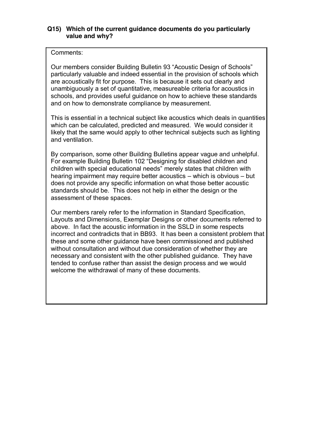#### **Q15) Which of the current guidance documents do you particularly value and why?**

#### Comments:

Our members consider Building Bulletin 93 "Acoustic Design of Schools" particularly valuable and indeed essential in the provision of schools which are acoustically fit for purpose. This is because it sets out clearly and unambiguously a set of quantitative, measureable criteria for acoustics in schools, and provides useful guidance on how to achieve these standards and on how to demonstrate compliance by measurement.

This is essential in a technical subject like acoustics which deals in quantities which can be calculated, predicted and measured. We would consider it likely that the same would apply to other technical subjects such as lighting and ventilation.

By comparison, some other Building Bulletins appear vague and unhelpful. For example Building Bulletin 102 "Designing for disabled children and children with special educational needs" merely states that children with hearing impairment may require better acoustics  $-\omega$  which is obvious  $-\omega$ does not provide any specific information on what those better acoustic standards should be. This does not help in either the design or the assessment of these spaces.

Our members rarely refer to the information in Standard Specification, Layouts and Dimensions, Exemplar Designs or other documents referred to above. In fact the acoustic information in the SSLD in some respects incorrect and contradicts that in BB93. It has been a consistent problem that these and some other guidance have been commissioned and published without consultation and without due consideration of whether they are necessary and consistent with the other published guidance. They have tended to confuse rather than assist the design process and we would welcome the withdrawal of many of these documents.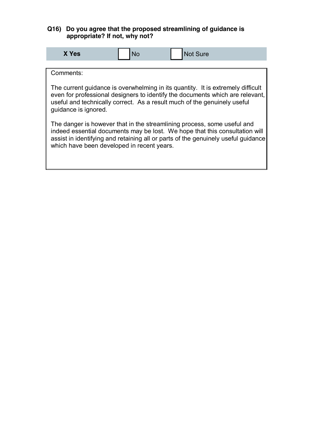# **Q16) Do you agree that the proposed streamlining of guidance is appropriate? If not, why not?**

| X Yes                                                                                                                                                                                                                                                                                     | No | <b>Not Sure</b> |  |  |
|-------------------------------------------------------------------------------------------------------------------------------------------------------------------------------------------------------------------------------------------------------------------------------------------|----|-----------------|--|--|
|                                                                                                                                                                                                                                                                                           |    |                 |  |  |
| Comments:                                                                                                                                                                                                                                                                                 |    |                 |  |  |
| The current quidance is overwhelming in its quantity. It is extremely difficult<br>even for professional designers to identify the documents which are relevant,<br>useful and technically correct. As a result much of the genuinely useful<br>quidance is ignored.                      |    |                 |  |  |
| The danger is however that in the streamlining process, some useful and<br>indeed essential documents may be lost. We hope that this consultation will<br>assist in identifying and retaining all or parts of the genuinely useful guidance<br>which have been developed in recent years. |    |                 |  |  |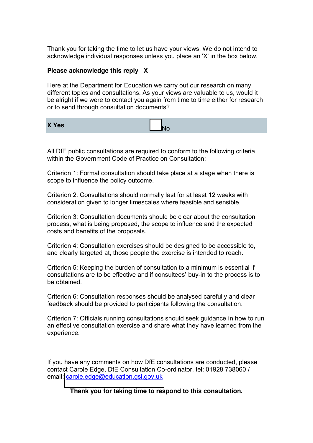Thank you for taking the time to let us have your views. We do not intend to acknowledge individual responses unless you place an 'X' in the box below.

#### **Please acknowledge this reply X**

Here at the Department for Education we carry out our research on many different topics and consultations. As your views are valuable to us, would it be alright if we were to contact you again from time to time either for research or to send through consultation documents?

**X Yes** No. 2008 **No. 2008** No. 2008

All DfE public consultations are required to conform to the following criteria within the Government Code of Practice on Consultation:

Criterion 1: Formal consultation should take place at a stage when there is scope to influence the policy outcome.

Criterion 2: Consultations should normally last for at least 12 weeks with consideration given to longer timescales where feasible and sensible.

Criterion 3: Consultation documents should be clear about the consultation process, what is being proposed, the scope to influence and the expected costs and benefits of the proposals.

Criterion 4: Consultation exercises should be designed to be accessible to, and clearly targeted at, those people the exercise is intended to reach.

Criterion 5: Keeping the burden of consultation to a minimum is essential if consultations are to be effective and if consultees' buy-in to the process is to be obtained.

Criterion 6: Consultation responses should be analysed carefully and clear feedback should be provided to participants following the consultation.

Criterion 7: Officials running consultations should seek guidance in how to run an effective consultation exercise and share what they have learned from the experience.

If you have any comments on how DfE consultations are conducted, please contact Carole Edge, DfE Consultation Co-ordinator, tel: 01928 738060 / email: [carole.edge@education.gsi.gov.uk](mailto:carole.edge@education.gsi.gov.uk)

**Thank you for taking time to respond to this consultation.**